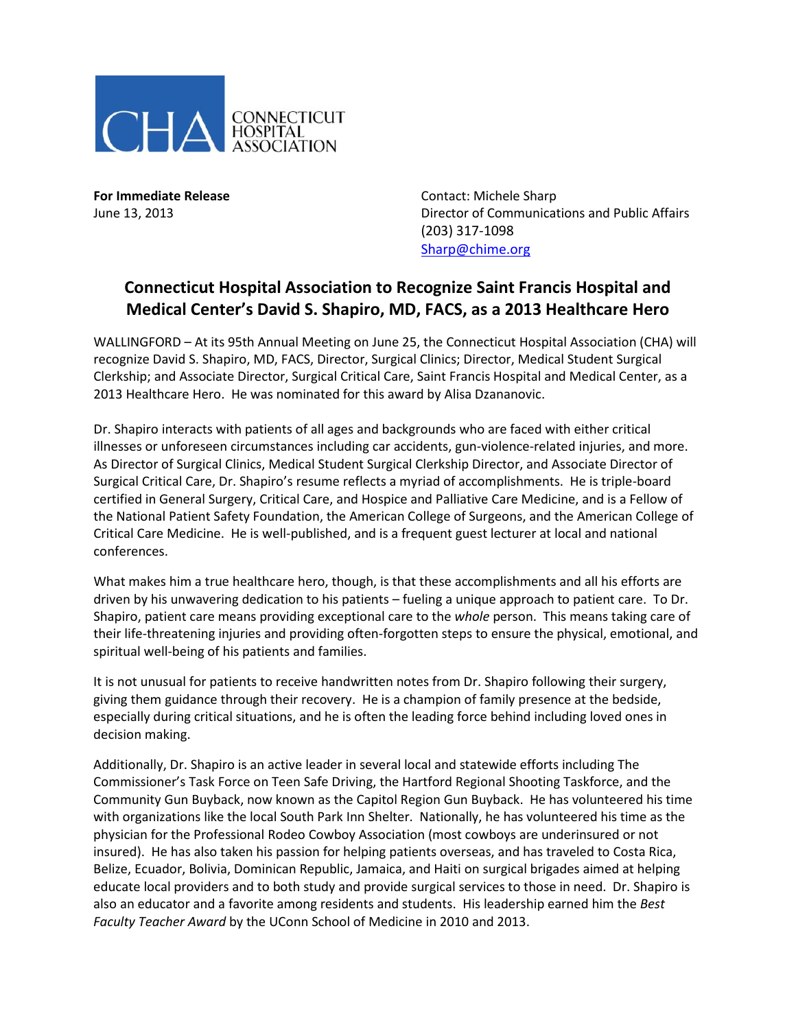

**For Immediate Release Contact: Michele Sharp** June 13, 2013 Director of Communications and Public Affairs (203) 317-1098 [Sharp@chime.org](mailto:Sharp@chime.org)

## **Connecticut Hospital Association to Recognize Saint Francis Hospital and Medical Center's David S. Shapiro, MD, FACS, as a 2013 Healthcare Hero**

WALLINGFORD – At its 95th Annual Meeting on June 25, the Connecticut Hospital Association (CHA) will recognize David S. Shapiro, MD, FACS, Director, Surgical Clinics; Director, Medical Student Surgical Clerkship; and Associate Director, Surgical Critical Care, Saint Francis Hospital and Medical Center, as a 2013 Healthcare Hero. He was nominated for this award by Alisa Dzananovic.

Dr. Shapiro interacts with patients of all ages and backgrounds who are faced with either critical illnesses or unforeseen circumstances including car accidents, gun-violence-related injuries, and more. As Director of Surgical Clinics, Medical Student Surgical Clerkship Director, and Associate Director of Surgical Critical Care, Dr. Shapiro's resume reflects a myriad of accomplishments. He is triple-board certified in General Surgery, Critical Care, and Hospice and Palliative Care Medicine, and is a Fellow of the National Patient Safety Foundation, the American College of Surgeons, and the American College of Critical Care Medicine. He is well-published, and is a frequent guest lecturer at local and national conferences.

What makes him a true healthcare hero, though, is that these accomplishments and all his efforts are driven by his unwavering dedication to his patients – fueling a unique approach to patient care. To Dr. Shapiro, patient care means providing exceptional care to the *whole* person. This means taking care of their life-threatening injuries and providing often-forgotten steps to ensure the physical, emotional, and spiritual well-being of his patients and families.

It is not unusual for patients to receive handwritten notes from Dr. Shapiro following their surgery, giving them guidance through their recovery. He is a champion of family presence at the bedside, especially during critical situations, and he is often the leading force behind including loved ones in decision making.

Additionally, Dr. Shapiro is an active leader in several local and statewide efforts including The Commissioner's Task Force on Teen Safe Driving, the Hartford Regional Shooting Taskforce, and the Community Gun Buyback, now known as the Capitol Region Gun Buyback. He has volunteered his time with organizations like the local South Park Inn Shelter. Nationally, he has volunteered his time as the physician for the Professional Rodeo Cowboy Association (most cowboys are underinsured or not insured). He has also taken his passion for helping patients overseas, and has traveled to Costa Rica, Belize, Ecuador, Bolivia, Dominican Republic, Jamaica, and Haiti on surgical brigades aimed at helping educate local providers and to both study and provide surgical services to those in need. Dr. Shapiro is also an educator and a favorite among residents and students. His leadership earned him the *Best Faculty Teacher Award* by the UConn School of Medicine in 2010 and 2013.